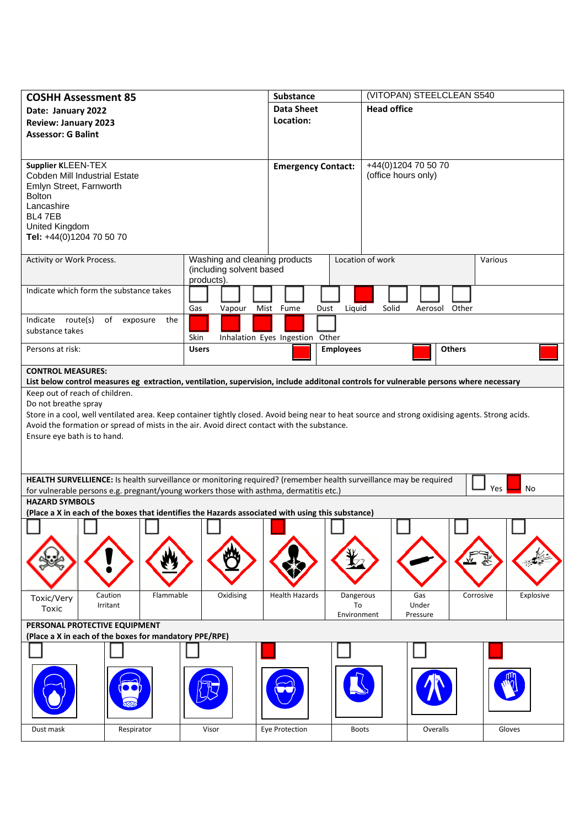| <b>COSHH Assessment 85</b>                                                                                                                                                                                  |                               | <b>Substance</b>                |                  | (VITOPAN) STEELCLEAN S540 |               |                  |  |
|-------------------------------------------------------------------------------------------------------------------------------------------------------------------------------------------------------------|-------------------------------|---------------------------------|------------------|---------------------------|---------------|------------------|--|
| Date: January 2022                                                                                                                                                                                          |                               | <b>Data Sheet</b>               |                  | <b>Head office</b>        |               |                  |  |
| <b>Review: January 2023</b>                                                                                                                                                                                 |                               | Location:                       |                  |                           |               |                  |  |
| <b>Assessor: G Balint</b>                                                                                                                                                                                   |                               |                                 |                  |                           |               |                  |  |
|                                                                                                                                                                                                             |                               |                                 |                  |                           |               |                  |  |
| Supplier KLEEN-TEX                                                                                                                                                                                          |                               |                                 |                  | +44(0)1204 70 50 70       |               |                  |  |
| Cobden Mill Industrial Estate                                                                                                                                                                               |                               | <b>Emergency Contact:</b>       |                  | (office hours only)       |               |                  |  |
| Emlyn Street, Farnworth                                                                                                                                                                                     |                               |                                 |                  |                           |               |                  |  |
| <b>Bolton</b>                                                                                                                                                                                               |                               |                                 |                  |                           |               |                  |  |
| Lancashire                                                                                                                                                                                                  |                               |                                 |                  |                           |               |                  |  |
| BL4 7EB                                                                                                                                                                                                     |                               |                                 |                  |                           |               |                  |  |
| United Kingdom<br>Tel: +44(0)1204 70 50 70                                                                                                                                                                  |                               |                                 |                  |                           |               |                  |  |
|                                                                                                                                                                                                             |                               |                                 |                  |                           |               |                  |  |
| Activity or Work Process.                                                                                                                                                                                   | Washing and cleaning products |                                 | Location of work |                           |               | Various          |  |
|                                                                                                                                                                                                             | (including solvent based      |                                 |                  |                           |               |                  |  |
|                                                                                                                                                                                                             | products).                    |                                 |                  |                           |               |                  |  |
| Indicate which form the substance takes                                                                                                                                                                     |                               |                                 |                  |                           |               |                  |  |
|                                                                                                                                                                                                             | Gas<br>Vapour                 | Mist Fume<br>Dust               | Liquid           | Solid                     | Aerosol Other |                  |  |
| Indicate route(s)<br>of exposure<br>the                                                                                                                                                                     |                               |                                 |                  |                           |               |                  |  |
| substance takes                                                                                                                                                                                             | Skin                          | Inhalation Eyes Ingestion Other |                  |                           |               |                  |  |
| Persons at risk:                                                                                                                                                                                            | <b>Users</b>                  |                                 | <b>Employees</b> |                           | <b>Others</b> |                  |  |
|                                                                                                                                                                                                             |                               |                                 |                  |                           |               |                  |  |
| <b>CONTROL MEASURES:</b>                                                                                                                                                                                    |                               |                                 |                  |                           |               |                  |  |
| List below control measures eg extraction, ventilation, supervision, include additonal controls for vulnerable persons where necessary                                                                      |                               |                                 |                  |                           |               |                  |  |
| Keep out of reach of children.                                                                                                                                                                              |                               |                                 |                  |                           |               |                  |  |
| Do not breathe spray<br>Store in a cool, well ventilated area. Keep container tightly closed. Avoid being near to heat source and strong oxidising agents. Strong acids.                                    |                               |                                 |                  |                           |               |                  |  |
| Avoid the formation or spread of mists in the air. Avoid direct contact with the substance.                                                                                                                 |                               |                                 |                  |                           |               |                  |  |
| Ensure eye bath is to hand.                                                                                                                                                                                 |                               |                                 |                  |                           |               |                  |  |
|                                                                                                                                                                                                             |                               |                                 |                  |                           |               |                  |  |
|                                                                                                                                                                                                             |                               |                                 |                  |                           |               |                  |  |
|                                                                                                                                                                                                             |                               |                                 |                  |                           |               |                  |  |
| HEALTH SURVELLIENCE: Is health surveillance or monitoring required? (remember health surveillance may be required<br>for vulnerable persons e.g. pregnant/young workers those with asthma, dermatitis etc.) |                               |                                 |                  |                           |               | <b>Yes</b><br>No |  |
| <b>HAZARD SYMBOLS</b>                                                                                                                                                                                       |                               |                                 |                  |                           |               |                  |  |
| (Place a X in each of the boxes that identifies the Hazards associated with using this substance)                                                                                                           |                               |                                 |                  |                           |               |                  |  |
|                                                                                                                                                                                                             |                               |                                 |                  |                           |               |                  |  |
|                                                                                                                                                                                                             |                               |                                 |                  |                           |               |                  |  |
|                                                                                                                                                                                                             |                               |                                 |                  |                           |               |                  |  |
|                                                                                                                                                                                                             |                               |                                 |                  |                           |               |                  |  |
|                                                                                                                                                                                                             |                               |                                 |                  |                           |               |                  |  |
|                                                                                                                                                                                                             |                               |                                 |                  |                           |               |                  |  |
| Caution<br>Flammable<br>Toxic/Very                                                                                                                                                                          | Oxidising                     | <b>Health Hazards</b>           | Dangerous        | Gas                       | Corrosive     | Explosive        |  |
| Irritant<br>Toxic                                                                                                                                                                                           |                               |                                 | To               | Under                     |               |                  |  |
| Environment<br>Pressure<br>PERSONAL PROTECTIVE EQUIPMENT                                                                                                                                                    |                               |                                 |                  |                           |               |                  |  |
| (Place a X in each of the boxes for mandatory PPE/RPE)                                                                                                                                                      |                               |                                 |                  |                           |               |                  |  |
|                                                                                                                                                                                                             |                               |                                 |                  |                           |               |                  |  |
|                                                                                                                                                                                                             |                               |                                 |                  |                           |               |                  |  |
|                                                                                                                                                                                                             |                               |                                 |                  |                           |               |                  |  |
|                                                                                                                                                                                                             |                               |                                 |                  |                           |               |                  |  |
|                                                                                                                                                                                                             |                               |                                 |                  |                           |               |                  |  |
|                                                                                                                                                                                                             |                               |                                 |                  |                           |               |                  |  |
|                                                                                                                                                                                                             |                               |                                 |                  |                           |               |                  |  |
| Respirator<br>Dust mask                                                                                                                                                                                     | Visor                         | Eye Protection                  | <b>Boots</b>     |                           | Overalls      | Gloves           |  |